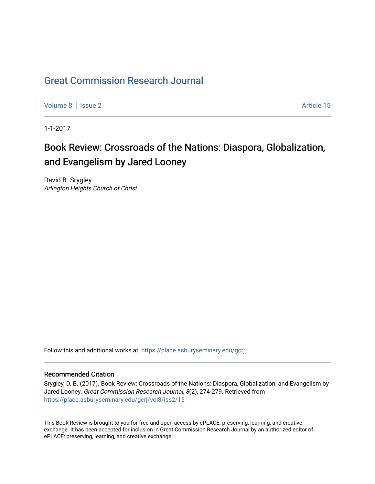## [Great Commission Research Journal](https://place.asburyseminary.edu/gcrj)

[Volume 8](https://place.asburyseminary.edu/gcrj/vol8) | [Issue 2](https://place.asburyseminary.edu/gcrj/vol8/iss2) Article 15

1-1-2017

## Book Review: Crossroads of the Nations: Diaspora, Globalization, and Evangelism by Jared Looney

David B. Srygley Arlington Heights Church of Christ

Follow this and additional works at: [https://place.asburyseminary.edu/gcrj](https://place.asburyseminary.edu/gcrj?utm_source=place.asburyseminary.edu%2Fgcrj%2Fvol8%2Fiss2%2F15&utm_medium=PDF&utm_campaign=PDFCoverPages) 

## Recommended Citation

Srygley, D. B. (2017). Book Review: Crossroads of the Nations: Diaspora, Globalization, and Evangelism by Jared Looney. Great Commission Research Journal, 8(2), 274-279. Retrieved from [https://place.asburyseminary.edu/gcrj/vol8/iss2/15](https://place.asburyseminary.edu/gcrj/vol8/iss2/15?utm_source=place.asburyseminary.edu%2Fgcrj%2Fvol8%2Fiss2%2F15&utm_medium=PDF&utm_campaign=PDFCoverPages) 

This Book Review is brought to you for free and open access by ePLACE: preserving, learning, and creative exchange. It has been accepted for inclusion in Great Commission Research Journal by an authorized editor of ePLACE: preserving, learning, and creative exchange.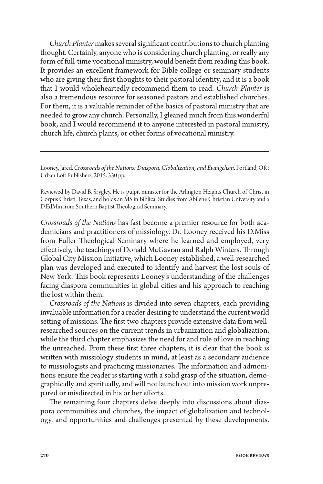*Church Planter* makes several significant contributions to church planting thought. Certainly, anyone who is considering church planting, or really any form of full-time vocational ministry, would benefit from reading this book. It provides an excellent framework for Bible college or seminary students who are giving their first thoughts to their pastoral identity, and it is a book that I would wholeheartedly recommend them to read. *Church Planter* is also a tremendous resource for seasoned pastors and established churches. For them, it is a valuable reminder of the basics of pastoral ministry that are needed to grow any church. Personally, I gleaned much from this wonderful book, and I would recommend it to anyone interested in pastoral ministry, church life, church plants, or other forms of vocational ministry.

Looney, Jared. *Crossroads of the Nations: Diaspora, Globalization, and Evangelism.* Portland, OR: Urban Loft Publishers, 2015. 330 pp.

Reviewed by David B. Srygley. He is pulpit minister for the Arlington Heights Church of Christ in Corpus Christi, Texas, and holds an MS in Biblical Studies from Abilene Christian University and a D.EdMin from Southern Baptist Theological Seminary.

*Crossroads of the Nations* has fast become a premier resource for both academicians and practitioners of missiology. Dr. Looney received his D.Miss from Fuller Theological Seminary where he learned and employed, very effectively, the teachings of Donald McGavran and Ralph Winters. Through Global City Mission Initiative, which Looney established, a well-researched plan was developed and executed to identify and harvest the lost souls of New York. This book represents Looney's understanding of the challenges facing diaspora communities in global cities and his approach to reaching the lost within them.

*Crossroads of the Nations* is divided into seven chapters, each providing invaluable information for a reader desiring to understand the current world setting of missions. The first two chapters provide extensive data from wellresearched sources on the current trends in urbanization and globalization, while the third chapter emphasizes the need for and role of love in reaching the unreached. From these first three chapters, it is clear that the book is written with missiology students in mind, at least as a secondary audience to missiologists and practicing missionaries. The information and admonitions ensure the reader is starting with a solid grasp of the situation, demographically and spiritually, and will not launch out into mission work unprepared or misdirected in his or her efforts.

The remaining four chapters delve deeply into discussions about diaspora communities and churches, the impact of globalization and technology, and opportunities and challenges presented by these developments.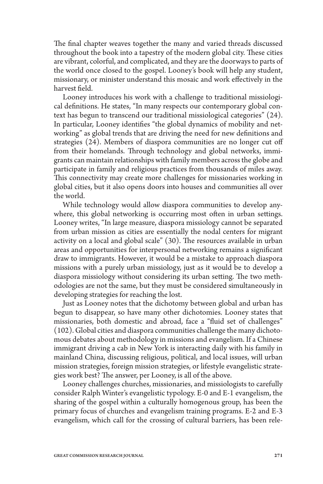The final chapter weaves together the many and varied threads discussed throughout the book into a tapestry of the modern global city. These cities are vibrant, colorful, and complicated, and they are the doorways to parts of the world once closed to the gospel. Looney's book will help any student, missionary, or minister understand this mosaic and work effectively in the harvest field.

Looney introduces his work with a challenge to traditional missiological definitions. He states, "In many respects our contemporary global context has begun to transcend our traditional missiological categories" (24). In particular, Looney identifies "the global dynamics of mobility and networking" as global trends that are driving the need for new definitions and strategies (24). Members of diaspora communities are no longer cut off from their homelands. Through technology and global networks, immigrants can maintain relationships with family members across the globe and participate in family and religious practices from thousands of miles away. This connectivity may create more challenges for missionaries working in global cities, but it also opens doors into houses and communities all over the world.

While technology would allow diaspora communities to develop anywhere, this global networking is occurring most often in urban settings. Looney writes, "In large measure, diaspora missiology cannot be separated from urban mission as cities are essentially the nodal centers for migrant activity on a local and global scale" (30). The resources available in urban areas and opportunities for interpersonal networking remains a significant draw to immigrants. However, it would be a mistake to approach diaspora missions with a purely urban missiology, just as it would be to develop a diaspora missiology without considering its urban setting. The two methodologies are not the same, but they must be considered simultaneously in developing strategies for reaching the lost.

Just as Looney notes that the dichotomy between global and urban has begun to disappear, so have many other dichotomies. Looney states that missionaries, both domestic and abroad, face a "fluid set of challenges" (102). Global cities and diaspora communities challenge the many dichotomous debates about methodology in missions and evangelism. If a Chinese immigrant driving a cab in New York is interacting daily with his family in mainland China, discussing religious, political, and local issues, will urban mission strategies, foreign mission strategies, or lifestyle evangelistic strategies work best? The answer, per Looney, is all of the above.

Looney challenges churches, missionaries, and missiologists to carefully consider Ralph Winter's evangelistic typology. E-0 and E-1 evangelism, the sharing of the gospel within a culturally homogenous group, has been the primary focus of churches and evangelism training programs. E-2 and E-3 evangelism, which call for the crossing of cultural barriers, has been rele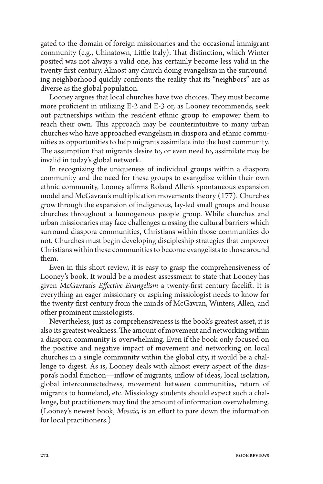gated to the domain of foreign missionaries and the occasional immigrant community (e.g., Chinatown, Little Italy). That distinction, which Winter posited was not always a valid one, has certainly become less valid in the twenty-first century. Almost any church doing evangelism in the surrounding neighborhood quickly confronts the reality that its "neighbors" are as diverse as the global population.

Looney argues that local churches have two choices. They must become more proficient in utilizing E-2 and E-3 or, as Looney recommends, seek out partnerships within the resident ethnic group to empower them to reach their own. This approach may be counterintuitive to many urban churches who have approached evangelism in diaspora and ethnic communities as opportunities to help migrants assimilate into the host community. The assumption that migrants desire to, or even need to, assimilate may be invalid in today's global network.

In recognizing the uniqueness of individual groups within a diaspora community and the need for these groups to evangelize within their own ethnic community, Looney affirms Roland Allen's spontaneous expansion model and McGavran's multiplication movements theory (177). Churches grow through the expansion of indigenous, lay-led small groups and house churches throughout a homogenous people group. While churches and urban missionaries may face challenges crossing the cultural barriers which surround diaspora communities, Christians within those communities do not. Churches must begin developing discipleship strategies that empower Christians within these communities to become evangelists to those around them.

Even in this short review, it is easy to grasp the comprehensiveness of Looney's book. It would be a modest assessment to state that Looney has given McGavran's *Effective Evangelism* a twenty-first century facelift. It is everything an eager missionary or aspiring missiologist needs to know for the twenty-first century from the minds of McGavran, Winters, Allen, and other prominent missiologists.

Nevertheless, just as comprehensiveness is the book's greatest asset, it is also its greatest weakness. The amount of movement and networking within a diaspora community is overwhelming. Even if the book only focused on the positive and negative impact of movement and networking on local churches in a single community within the global city, it would be a challenge to digest. As is, Looney deals with almost every aspect of the diaspora's nodal function—inflow of migrants, inflow of ideas, local isolation, global interconnectedness, movement between communities, return of migrants to homeland, etc. Missiology students should expect such a challenge, but practitioners may find the amount of information overwhelming. (Looney's newest book, *Mosaic*, is an effort to pare down the information for local practitioners.)